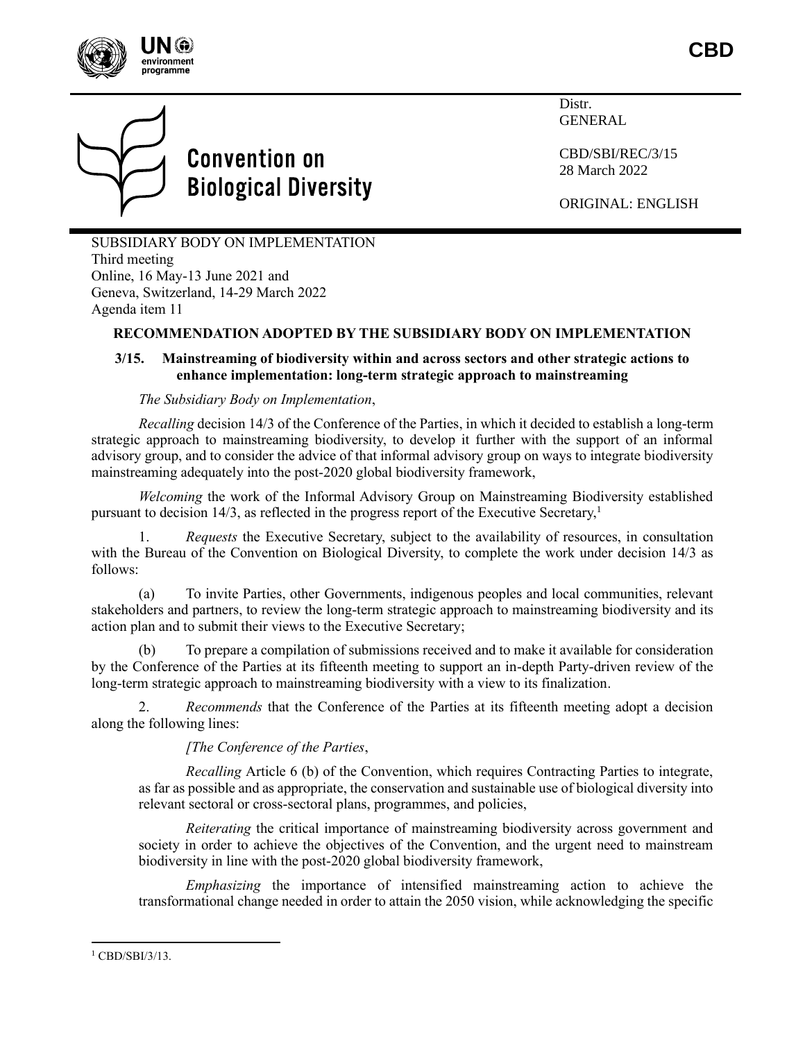



Distr. GENERAL

CBD/SBI/REC/3/15 28 March 2022

ORIGINAL: ENGLISH

SUBSIDIARY BODY ON IMPLEMENTATION Third meeting Online, 16 May-13 June 2021 and Geneva, Switzerland, 14-29 March 2022 Agenda item 11

# **RECOMMENDATION ADOPTED BY THE SUBSIDIARY BODY ON IMPLEMENTATION**

# **3/15. Mainstreaming of biodiversity within and across sectors and other strategic actions to enhance implementation: long-term strategic approach to mainstreaming**

# *The Subsidiary Body on Implementation*,

*Recalling* decision 14/3 of the Conference of the Parties, in which it decided to establish a long-term strategic approach to mainstreaming biodiversity, to develop it further with the support of an informal advisory group, and to consider the advice of that informal advisory group on ways to integrate biodiversity mainstreaming adequately into the post-2020 global biodiversity framework,

*Welcoming* the work of the Informal Advisory Group on Mainstreaming Biodiversity established pursuant to decision 14/3, as reflected in the progress report of the Executive Secretary,<sup>1</sup>

1. *Requests* the Executive Secretary, subject to the availability of resources, in consultation with the Bureau of the Convention on Biological Diversity, to complete the work under decision 14/3 as follows:

(a) To invite Parties, other Governments, indigenous peoples and local communities, relevant stakeholders and partners, to review the long-term strategic approach to mainstreaming biodiversity and its action plan and to submit their views to the Executive Secretary;

(b) To prepare a compilation of submissions received and to make it available for consideration by the Conference of the Parties at its fifteenth meeting to support an in-depth Party-driven review of the long-term strategic approach to mainstreaming biodiversity with a view to its finalization.

2. *Recommends* that the Conference of the Parties at its fifteenth meeting adopt a decision along the following lines:

*[The Conference of the Parties*,

*Recalling* Article 6 (b) of the Convention, which requires Contracting Parties to integrate, as far as possible and as appropriate, the conservation and sustainable use of biological diversity into relevant sectoral or cross-sectoral plans, programmes, and policies,

*Reiterating* the critical importance of mainstreaming biodiversity across government and society in order to achieve the objectives of the Convention, and the urgent need to mainstream biodiversity in line with the post-2020 global biodiversity framework,

*Emphasizing* the importance of intensified mainstreaming action to achieve the transformational change needed in order to attain the 2050 vision, while acknowledging the specific

<sup>&</sup>lt;sup>1</sup> CBD/SBI/3/13.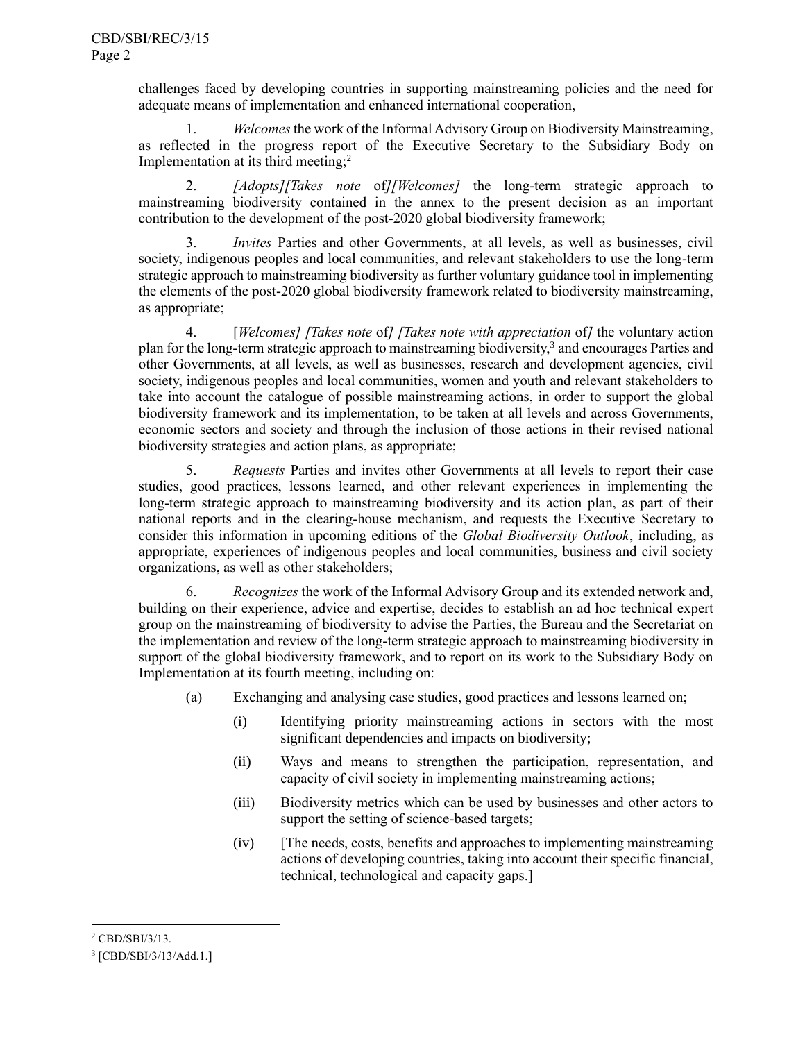challenges faced by developing countries in supporting mainstreaming policies and the need for adequate means of implementation and enhanced international cooperation,

1. *Welcomes*the work of the Informal Advisory Group on Biodiversity Mainstreaming, as reflected in the progress report of the Executive Secretary to the Subsidiary Body on Implementation at its third meeting; $<sup>2</sup>$ </sup>

2. *[Adopts][Takes note* of*][Welcomes]* the long-term strategic approach to mainstreaming biodiversity contained in the annex to the present decision as an important contribution to the development of the post-2020 global biodiversity framework;

*Invites* Parties and other Governments, at all levels, as well as businesses, civil society, indigenous peoples and local communities, and relevant stakeholders to use the long-term strategic approach to mainstreaming biodiversity as further voluntary guidance tool in implementing the elements of the post-2020 global biodiversity framework related to biodiversity mainstreaming, as appropriate;

<span id="page-1-0"></span>4. [*Welcomes] [Takes note* of*] [Takes note with appreciation* of*]* the voluntary action plan for the long-term strategic approach to mainstreaming biodiversity,<sup>3</sup> and encourages Parties and other Governments, at all levels, as well as businesses, research and development agencies, civil society, indigenous peoples and local communities, women and youth and relevant stakeholders to take into account the catalogue of possible mainstreaming actions, in order to support the global biodiversity framework and its implementation, to be taken at all levels and across Governments, economic sectors and society and through the inclusion of those actions in their revised national biodiversity strategies and action plans, as appropriate;

5. *Requests* Parties and invites other Governments at all levels to report their case studies, good practices, lessons learned, and other relevant experiences in implementing the long-term strategic approach to mainstreaming biodiversity and its action plan, as part of their national reports and in the clearing-house mechanism, and requests the Executive Secretary to consider this information in upcoming editions of the *Global Biodiversity Outlook*, including, as appropriate, experiences of indigenous peoples and local communities, business and civil society organizations, as well as other stakeholders;

6. *Recognizes* the work of the Informal Advisory Group and its extended network and, building on their experience, advice and expertise, decides to establish an ad hoc technical expert group on the mainstreaming of biodiversity to advise the Parties, the Bureau and the Secretariat on the implementation and review of the long-term strategic approach to mainstreaming biodiversity in support of the global biodiversity framework, and to report on its work to the Subsidiary Body on Implementation at its fourth meeting, including on:

- (a) Exchanging and analysing case studies, good practices and lessons learned on;
	- (i) Identifying priority mainstreaming actions in sectors with the most significant dependencies and impacts on biodiversity;
	- (ii) Ways and means to strengthen the participation, representation, and capacity of civil society in implementing mainstreaming actions;
	- (iii) Biodiversity metrics which can be used by businesses and other actors to support the setting of science-based targets;
	- (iv) [The needs, costs, benefits and approaches to implementing mainstreaming actions of developing countries, taking into account their specific financial, technical, technological and capacity gaps.]

<sup>2</sup> CBD/SBI/3/13.

<sup>3</sup> [CBD/SBI/3/13/Add.1.]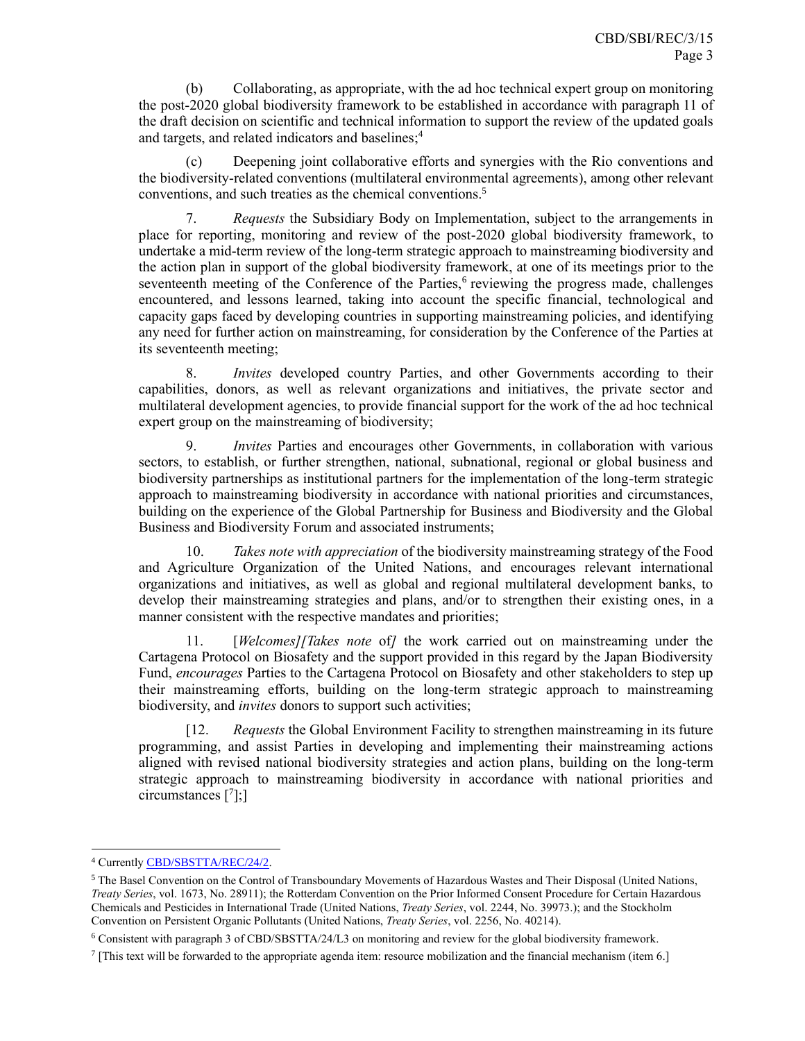(b) Collaborating, as appropriate, with the ad hoc technical expert group on monitoring the post-2020 global biodiversity framework to be established in accordance with paragraph 11 of the draft decision on scientific and technical information to support the review of the updated goals and targets, and related indicators and baselines; 4

(c) Deepening joint collaborative efforts and synergies with the Rio conventions and the biodiversity-related conventions (multilateral environmental agreements), among other relevant conventions, and such treaties as the chemical conventions. 5

7. *Requests* the Subsidiary Body on Implementation, subject to the arrangements in place for reporting, monitoring and review of the post-2020 global biodiversity framework, to undertake a mid-term review of the long-term strategic approach to mainstreaming biodiversity and the action plan in support of the global biodiversity framework, at one of its meetings prior to the seventeenth meeting of the Conference of the Parties,<sup>6</sup> reviewing the progress made, challenges encountered, and lessons learned, taking into account the specific financial, technological and capacity gaps faced by developing countries in supporting mainstreaming policies, and identifying any need for further action on mainstreaming, for consideration by the Conference of the Parties at its seventeenth meeting;

8. *Invites* developed country Parties, and other Governments according to their capabilities, donors, as well as relevant organizations and initiatives, the private sector and multilateral development agencies, to provide financial support for the work of the ad hoc technical expert group on the mainstreaming of biodiversity;

9. *Invites* Parties and encourages other Governments, in collaboration with various sectors, to establish, or further strengthen, national, subnational, regional or global business and biodiversity partnerships as institutional partners for the implementation of the long-term strategic approach to mainstreaming biodiversity in accordance with national priorities and circumstances, building on the experience of the Global Partnership for Business and Biodiversity and the Global Business and Biodiversity Forum and associated instruments;

10. *Takes note with appreciation* of the biodiversity mainstreaming strategy of the Food and Agriculture Organization of the United Nations, and encourages relevant international organizations and initiatives, as well as global and regional multilateral development banks, to develop their mainstreaming strategies and plans, and/or to strengthen their existing ones, in a manner consistent with the respective mandates and priorities;

11. [*Welcomes][Takes note* of*]* the work carried out on mainstreaming under the Cartagena Protocol on Biosafety and the support provided in this regard by the Japan Biodiversity Fund, *encourages* Parties to the Cartagena Protocol on Biosafety and other stakeholders to step up their mainstreaming efforts, building on the long-term strategic approach to mainstreaming biodiversity, and *invites* donors to support such activities;

[12. *Requests* the Global Environment Facility to strengthen mainstreaming in its future programming, and assist Parties in developing and implementing their mainstreaming actions aligned with revised national biodiversity strategies and action plans, building on the long-term strategic approach to mainstreaming biodiversity in accordance with national priorities and circumstances [<sup>7</sup>];]

<sup>4</sup> Currentl[y CBD/SBSTTA/REC/24/2.](https://www.cbd.int/doc/c/9849/459f/b9fe0e74c9e1f25dd90dee23/sbstta-24-l-03-en.pdf)

<sup>&</sup>lt;sup>5</sup> The Basel Convention on the Control of Transboundary Movements of Hazardous Wastes and Their Disposal (United Nations, *Treaty Series*, vol. 1673, No. 28911); the Rotterdam Convention on the Prior Informed Consent Procedure for Certain Hazardous Chemicals and Pesticides in International Trade (United Nations, *Treaty Series*, vol. 2244, No. 39973.); and the Stockholm Convention on Persistent Organic Pollutants (United Nations, *Treaty Series*, vol. 2256, No. 40214).

<sup>6</sup> Consistent with paragraph 3 of CBD/SBSTTA/24/L3 on monitoring and review for the global biodiversity framework.

<sup>7</sup> [This text will be forwarded to the appropriate agenda item: resource mobilization and the financial mechanism (item 6.]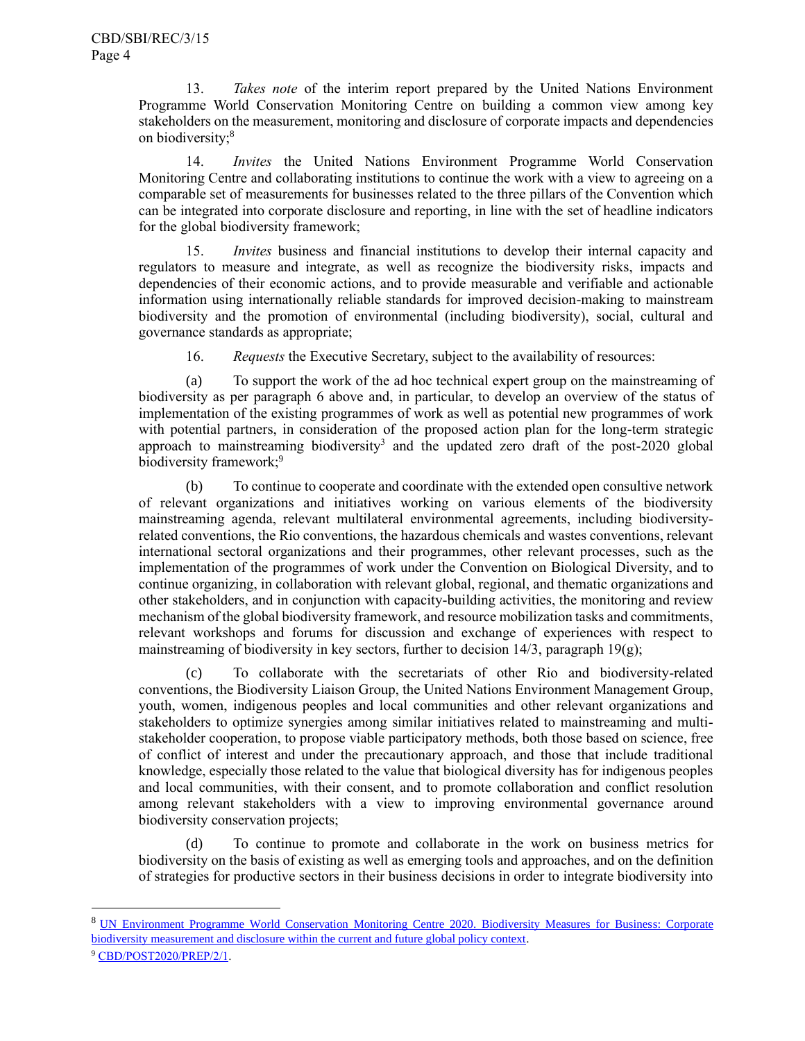13. *Takes note* of the interim report prepared by the United Nations Environment Programme World Conservation Monitoring Centre on building a common view among key stakeholders on the measurement, monitoring and disclosure of corporate impacts and dependencies on biodiversity;<sup>8</sup>

14. *Invites* the United Nations Environment Programme World Conservation Monitoring Centre and collaborating institutions to continue the work with a view to agreeing on a comparable set of measurements for businesses related to the three pillars of the Convention which can be integrated into corporate disclosure and reporting, in line with the set of headline indicators for the global biodiversity framework;

15. *Invites* business and financial institutions to develop their internal capacity and regulators to measure and integrate, as well as recognize the biodiversity risks, impacts and dependencies of their economic actions, and to provide measurable and verifiable and actionable information using internationally reliable standards for improved decision-making to mainstream biodiversity and the promotion of environmental (including biodiversity), social, cultural and governance standards as appropriate;

16. *Requests* the Executive Secretary, subject to the availability of resources:

(a) To support the work of the ad hoc technical expert group on the mainstreaming of biodiversity as per paragraph 6 above and, in particular, to develop an overview of the status of implementation of the existing programmes of work as well as potential new programmes of work with potential partners, in consideration of the proposed action plan for the long-term strategic approach to mainstreaming biodiversit[y](#page-1-0)<sup>3</sup> and the updated zero draft of the post-2020 global biodiversity framework;<sup>9</sup>

(b) To continue to cooperate and coordinate with the extended open consultive network of relevant organizations and initiatives working on various elements of the biodiversity mainstreaming agenda, relevant multilateral environmental agreements, including biodiversityrelated conventions, the Rio conventions, the hazardous chemicals and wastes conventions, relevant international sectoral organizations and their programmes, other relevant processes, such as the implementation of the programmes of work under the Convention on Biological Diversity, and to continue organizing, in collaboration with relevant global, regional, and thematic organizations and other stakeholders, and in conjunction with capacity-building activities, the monitoring and review mechanism of the global biodiversity framework, and resource mobilization tasks and commitments, relevant workshops and forums for discussion and exchange of experiences with respect to mainstreaming of biodiversity in key sectors, further to decision 14/3, paragraph 19 $(g)$ ;

(c) To collaborate with the secretariats of other Rio and biodiversity-related conventions, the Biodiversity Liaison Group, the United Nations Environment Management Group, youth, women, indigenous peoples and local communities and other relevant organizations and stakeholders to optimize synergies among similar initiatives related to mainstreaming and multistakeholder cooperation, to propose viable participatory methods, both those based on science, free of conflict of interest and under the precautionary approach, and those that include traditional knowledge, especially those related to the value that biological diversity has for indigenous peoples and local communities, with their consent, and to promote collaboration and conflict resolution among relevant stakeholders with a view to improving environmental governance around biodiversity conservation projects;

(d) To continue to promote and collaborate in the work on business metrics for biodiversity on the basis of existing as well as emerging tools and approaches, and on the definition of strategies for productive sectors in their business decisions in order to integrate biodiversity into

<sup>9</sup> [CBD/POST2020/PREP/2/1.](https://www.cbd.int/doc/c/3064/749a/0f65ac7f9def86707f4eaefa/post2020-prep-02-01-en.pdf)

<sup>&</sup>lt;sup>8</sup> UN Environment Programme World Conservation Monitoring Centre 2020. Biodiversity Measures for Business: Corporate [biodiversity measurement and disclosure within the current and future global policy context.](https://www2.unep-wcmc.org/system/comfy/cms/files/files/000/001/843/original/Working_MASTER_AligningMeasures_PolicyReport_August2020_d06.pdf)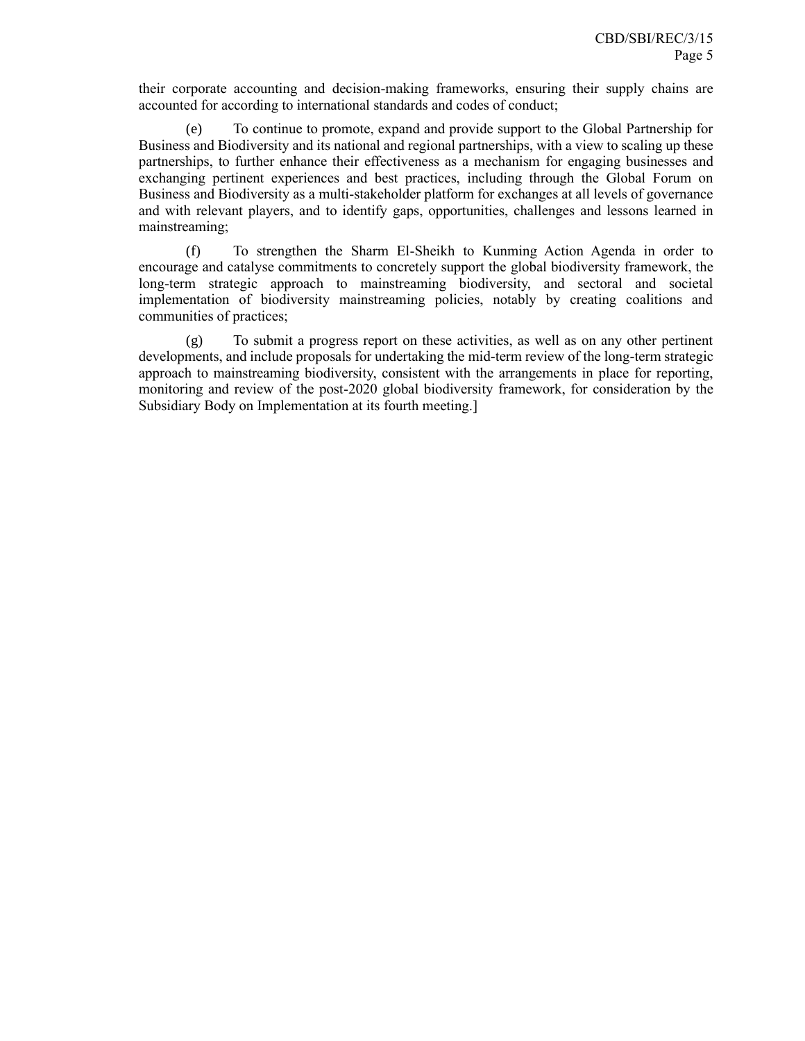their corporate accounting and decision-making frameworks, ensuring their supply chains are accounted for according to international standards and codes of conduct;

(e) To continue to promote, expand and provide support to the Global Partnership for Business and Biodiversity and its national and regional partnerships, with a view to scaling up these partnerships, to further enhance their effectiveness as a mechanism for engaging businesses and exchanging pertinent experiences and best practices, including through the Global Forum on Business and Biodiversity as a multi-stakeholder platform for exchanges at all levels of governance and with relevant players, and to identify gaps, opportunities, challenges and lessons learned in mainstreaming;

(f) To strengthen the Sharm El-Sheikh to Kunming Action Agenda in order to encourage and catalyse commitments to concretely support the global biodiversity framework, the long-term strategic approach to mainstreaming biodiversity, and sectoral and societal implementation of biodiversity mainstreaming policies, notably by creating coalitions and communities of practices;

(g) To submit a progress report on these activities, as well as on any other pertinent developments, and include proposals for undertaking the mid-term review of the long-term strategic approach to mainstreaming biodiversity, consistent with the arrangements in place for reporting, monitoring and review of the post-2020 global biodiversity framework, for consideration by the Subsidiary Body on Implementation at its fourth meeting.]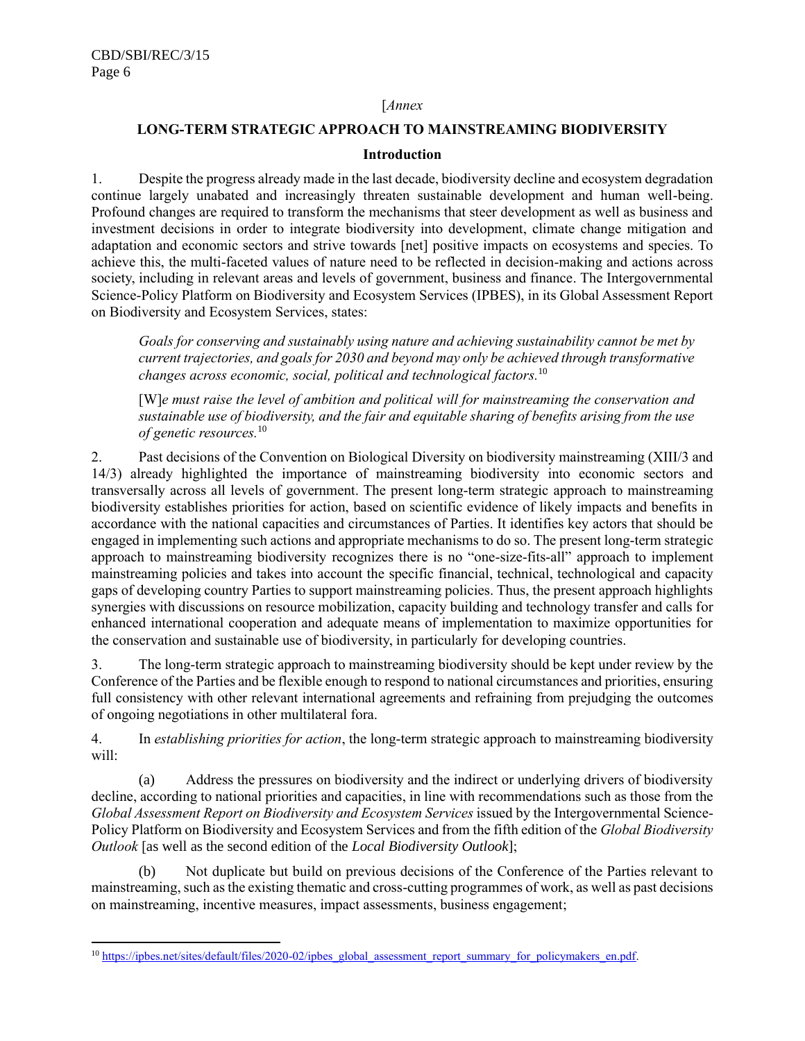### [*Annex*

# **LONG-TERM STRATEGIC APPROACH TO MAINSTREAMING BIODIVERSITY**

#### <span id="page-5-0"></span>**Introduction**

1. Despite the progress already made in the last decade, biodiversity decline and ecosystem degradation continue largely unabated and increasingly threaten sustainable development and human well-being. Profound changes are required to transform the mechanisms that steer development as well as business and investment decisions in order to integrate biodiversity into development, climate change mitigation and adaptation and economic sectors and strive towards [net] positive impacts on ecosystems and species. To achieve this, the multi-faceted values of nature need to be reflected in decision-making and actions across society, including in relevant areas and levels of government, business and finance. The Intergovernmental Science-Policy Platform on Biodiversity and Ecosystem Services (IPBES), in its Global Assessment Report on Biodiversity and Ecosystem Services, states:

*Goals for conserving and sustainably using nature and achieving sustainability cannot be met by current trajectories, and goals for 2030 and beyond may only be achieved through transformative changes across economic, social, political and technological factors.*<sup>10</sup>

[W]*e must raise the level of ambition and political will for mainstreaming the conservation and sustainable use of biodiversity, and the fair and equitable sharing of benefits arising from the use of genetic resources.*[10](#page-5-0)

2. Past decisions of the Convention on Biological Diversity on biodiversity mainstreaming (XIII/3 and 14/3) already highlighted the importance of mainstreaming biodiversity into economic sectors and transversally across all levels of government. The present long-term strategic approach to mainstreaming biodiversity establishes priorities for action, based on scientific evidence of likely impacts and benefits in accordance with the national capacities and circumstances of Parties. It identifies key actors that should be engaged in implementing such actions and appropriate mechanisms to do so. The present long-term strategic approach to mainstreaming biodiversity recognizes there is no "one-size-fits-all" approach to implement mainstreaming policies and takes into account the specific financial, technical, technological and capacity gaps of developing country Parties to support mainstreaming policies. Thus, the present approach highlights synergies with discussions on resource mobilization, capacity building and technology transfer and calls for enhanced international cooperation and adequate means of implementation to maximize opportunities for the conservation and sustainable use of biodiversity, in particularly for developing countries.

3. The long-term strategic approach to mainstreaming biodiversity should be kept under review by the Conference of the Parties and be flexible enough to respond to national circumstances and priorities, ensuring full consistency with other relevant international agreements and refraining from prejudging the outcomes of ongoing negotiations in other multilateral fora.

4. In *establishing priorities for action*, the long-term strategic approach to mainstreaming biodiversity will:

(a) Address the pressures on biodiversity and the indirect or underlying drivers of biodiversity decline, according to national priorities and capacities, in line with recommendations such as those from the *Global Assessment Report on Biodiversity and Ecosystem Services* issued by the Intergovernmental Science-Policy Platform on Biodiversity and Ecosystem Services and from the fifth edition of the *Global Biodiversity Outlook* [as well as the second edition of the *Local Biodiversity Outlook*];

Not duplicate but build on previous decisions of the Conference of the Parties relevant to mainstreaming, such as the existing thematic and cross-cutting programmes of work, as well as past decisions on mainstreaming, incentive measures, impact assessments, business engagement;

<sup>&</sup>lt;sup>10</sup> [https://ipbes.net/sites/default/files/2020-02/ipbes\\_global\\_assessment\\_report\\_summary\\_for\\_policymakers\\_en.pdf.](https://ipbes.net/sites/default/files/2020-02/ipbes_global_assessment_report_summary_for_policymakers_en.pdf)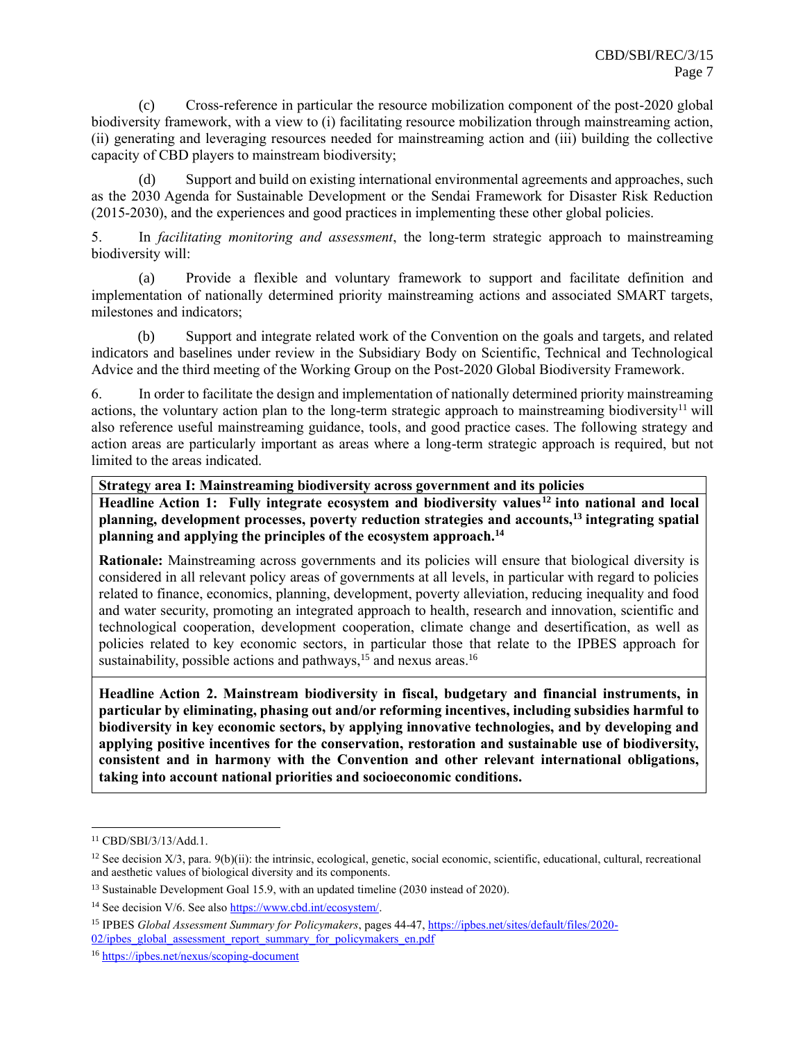(c) Cross-reference in particular the resource mobilization component of the post-2020 global biodiversity framework, with a view to (i) facilitating resource mobilization through mainstreaming action, (ii) generating and leveraging resources needed for mainstreaming action and (iii) building the collective capacity of CBD players to mainstream biodiversity;

(d) Support and build on existing international environmental agreements and approaches, such as the 2030 Agenda for Sustainable Development or the Sendai Framework for Disaster Risk Reduction (2015-2030), and the experiences and good practices in implementing these other global policies.

5. In *facilitating monitoring and assessment*, the long-term strategic approach to mainstreaming biodiversity will:

(a) Provide a flexible and voluntary framework to support and facilitate definition and implementation of nationally determined priority mainstreaming actions and associated SMART targets, milestones and indicators;

(b) Support and integrate related work of the Convention on the goals and targets, and related indicators and baselines under review in the Subsidiary Body on Scientific, Technical and Technological Advice and the third meeting of the Working Group on the Post-2020 Global Biodiversity Framework.

6. In order to facilitate the design and implementation of nationally determined priority mainstreaming actions, the voluntary action plan to the long-term strategic approach to mainstreaming biodiversity<sup>11</sup> will also reference useful mainstreaming guidance, tools, and good practice cases. The following strategy and action areas are particularly important as areas where a long-term strategic approach is required, but not limited to the areas indicated.

**Strategy area I: Mainstreaming biodiversity across government and its policies**

**Headline Action 1: Fully integrate ecosystem and biodiversity values<sup>12</sup> into national and local planning, development processes, poverty reduction strategies and accounts,<sup>13</sup> integrating spatial planning and applying the principles of the ecosystem approach.<sup>14</sup>**

**Rationale:** Mainstreaming across governments and its policies will ensure that biological diversity is considered in all relevant policy areas of governments at all levels, in particular with regard to policies related to finance, economics, planning, development, poverty alleviation, reducing inequality and food and water security, promoting an integrated approach to health, research and innovation, scientific and technological cooperation, development cooperation, climate change and desertification, as well as policies related to key economic sectors, in particular those that relate to the IPBES approach for sustainability, possible actions and pathways,  $15$  and nexus areas.<sup>16</sup>

**Headline Action 2. Mainstream biodiversity in fiscal, budgetary and financial instruments, in particular by eliminating, phasing out and/or reforming incentives, including subsidies harmful to biodiversity in key economic sectors, by applying innovative technologies, and by developing and applying positive incentives for the conservation, restoration and sustainable use of biodiversity, consistent and in harmony with the Convention and other relevant international obligations, taking into account national priorities and socioeconomic conditions.**

<sup>11</sup> CBD/SBI/3/13/Add.1.

 $12$  See decision X/3, para. 9(b)(ii): the intrinsic, ecological, genetic, social economic, scientific, educational, cultural, recreational and aesthetic values of biological diversity and its components.

<sup>&</sup>lt;sup>13</sup> Sustainable Development Goal 15.9, with an updated timeline (2030 instead of 2020).

<sup>&</sup>lt;sup>14</sup> See decision V/6. See also [https://www.cbd.int/ecosystem/.](https://www.cbd.int/ecosystem/)

<sup>15</sup> IPBES *Global Assessment Summary for Policymakers*, pages 44-47[, https://ipbes.net/sites/default/files/2020-](https://ipbes.net/sites/default/files/2020-02/ipbes_global_assessment_report_summary_for_policymakers_en.pdf) [02/ipbes\\_global\\_assessment\\_report\\_summary\\_for\\_policymakers\\_en.pdf](https://ipbes.net/sites/default/files/2020-02/ipbes_global_assessment_report_summary_for_policymakers_en.pdf)

<sup>16</sup> <https://ipbes.net/nexus/scoping-document>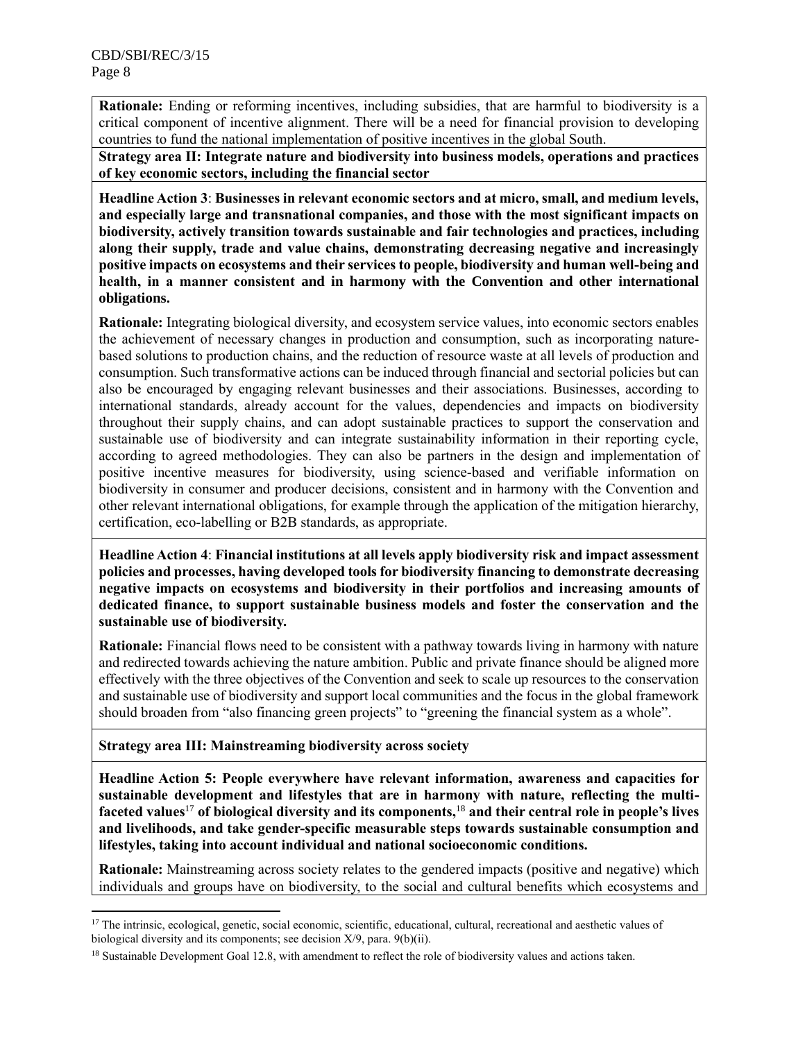**Rationale:** Ending or reforming incentives, including subsidies, that are harmful to biodiversity is a critical component of incentive alignment. There will be a need for financial provision to developing countries to fund the national implementation of positive incentives in the global South.

**Strategy area II: Integrate nature and biodiversity into business models, operations and practices of key economic sectors, including the financial sector**

**Headline Action 3**: **Businesses in relevant economic sectors and at micro, small, and medium levels, and especially large and transnational companies, and those with the most significant impacts on biodiversity, actively transition towards sustainable and fair technologies and practices, including along their supply, trade and value chains, demonstrating decreasing negative and increasingly positive impacts on ecosystems and their services to people, biodiversity and human well-being and health, in a manner consistent and in harmony with the Convention and other international obligations.** 

**Rationale:** Integrating biological diversity, and ecosystem service values, into economic sectors enables the achievement of necessary changes in production and consumption, such as incorporating naturebased solutions to production chains, and the reduction of resource waste at all levels of production and consumption. Such transformative actions can be induced through financial and sectorial policies but can also be encouraged by engaging relevant businesses and their associations. Businesses, according to international standards, already account for the values, dependencies and impacts on biodiversity throughout their supply chains, and can adopt sustainable practices to support the conservation and sustainable use of biodiversity and can integrate sustainability information in their reporting cycle, according to agreed methodologies. They can also be partners in the design and implementation of positive incentive measures for biodiversity, using science-based and verifiable information on biodiversity in consumer and producer decisions, consistent and in harmony with the Convention and other relevant international obligations, for example through the application of the mitigation hierarchy, certification, eco-labelling or B2B standards, as appropriate.

**Headline Action 4**: **Financial institutions at all levels apply biodiversity risk and impact assessment policies and processes, having developed tools for biodiversity financing to demonstrate decreasing negative impacts on ecosystems and biodiversity in their portfolios and increasing amounts of dedicated finance, to support sustainable business models and foster the conservation and the sustainable use of biodiversity.**

**Rationale:** Financial flows need to be consistent with a pathway towards living in harmony with nature and redirected towards achieving the nature ambition. Public and private finance should be aligned more effectively with the three objectives of the Convention and seek to scale up resources to the conservation and sustainable use of biodiversity and support local communities and the focus in the global framework should broaden from "also financing green projects" to "greening the financial system as a whole".

**Strategy area III: Mainstreaming biodiversity across society**

**Headline Action 5: People everywhere have relevant information, awareness and capacities for sustainable development and lifestyles that are in harmony with nature, reflecting the multifaceted values**<sup>17</sup> **of biological diversity and its components,**<sup>18</sup> **and their central role in people's lives and livelihoods, and take gender-specific measurable steps towards sustainable consumption and lifestyles, taking into account individual and national socioeconomic conditions.**

**Rationale:** Mainstreaming across society relates to the gendered impacts (positive and negative) which individuals and groups have on biodiversity, to the social and cultural benefits which ecosystems and

<sup>&</sup>lt;sup>17</sup> The intrinsic, ecological, genetic, social economic, scientific, educational, cultural, recreational and aesthetic values of biological diversity and its components; see decision X/9, para. 9(b)(ii).

<sup>&</sup>lt;sup>18</sup> Sustainable Development Goal 12.8, with amendment to reflect the role of biodiversity values and actions taken.